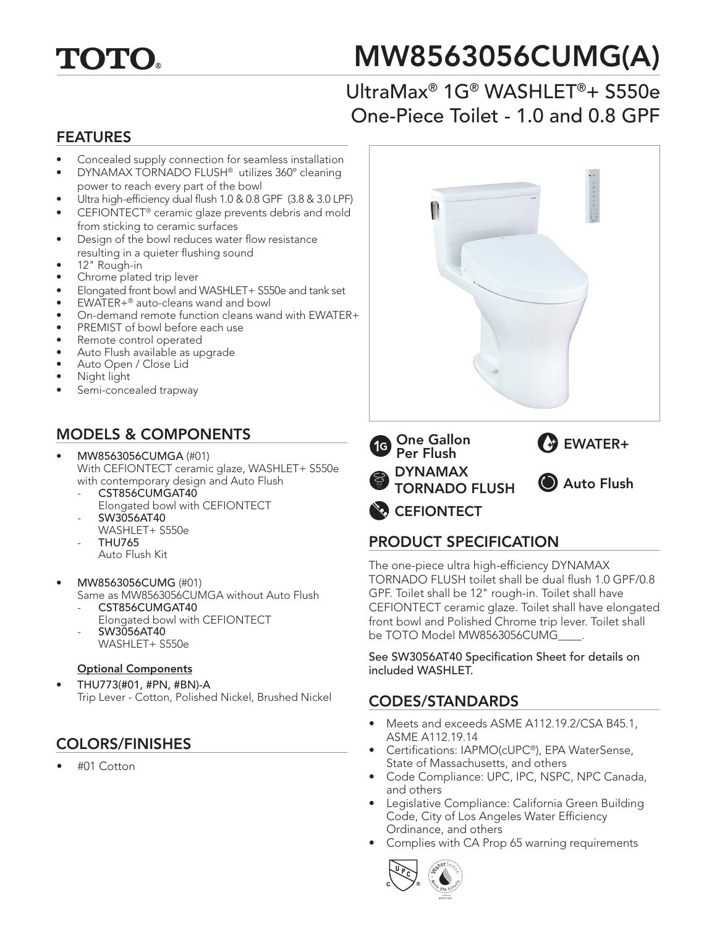

# MW8563056CUMG(A)

## UltraMax® 1G® WASHLET®+ S550e One-Piece Toilet - 1.0 and 0.8 GPF

#### FEATURES

- Concealed supply connection for seamless installation
- DYNAMAX TORNADO FLUSH® utilizes 360º cleaning power to reach every part of the bowl
- Ultra high-efficiency dual flush 1.0 & 0.8 GPF (3.8 & 3.0 LPF)
- CEFIONTECT® ceramic glaze prevents debris and mold from sticking to ceramic surfaces
- Design of the bowl reduces water flow resistance resulting in a quieter flushing sound
- 12" Rough-in
- Chrome plated trip lever
- Elongated front bowl and WASHLET+ S550e and tank set
- EWATER+® auto-cleans wand and bowl
- On-demand remote function cleans wand with EWATER+
- PREMIST of bowl before each use
- Remote control operated
- Auto Flush available as upgrade
- Auto Open / Close Lid
- Night light
- Semi-concealed trapway

#### MODELS & COMPONENTS

- MW8563056CUMGA (#01) With CEFIONTECT ceramic glaze, WASHLET+ S550e with contemporary design and Auto Flush
	- CST856CUMGAT40 Elongated bowl with CEFIONTECT
	- SW3056AT40 WASHLET+ S550e
	- THU765
	- Auto Flush Kit
- MW8563056CUMG (#01)
	- Same as MW8563056CUMGA without Auto Flush CST856CUMGAT40
		- Elongated bowl with CEFIONTECT - SW3056AT40
			- WASHLET+ S550e

#### Optional Components

• THU773(#01, #PN, #BN)-A Trip Lever - Cotton, Polished Nickel, Brushed Nickel

#### COLORS/FINISHES

• #01 Cotton



### PRODUCT SPECIFICATION

The one-piece ultra high-efficiency DYNAMAX TORNADO FLUSH toilet shall be dual flush 1.0 GPF/0.8 GPF. Toilet shall be 12" rough-in. Toilet shall have CEFIONTECT ceramic glaze. Toilet shall have elongated front bowl and Polished Chrome trip lever. Toilet shall be TOTO Model MW8563056CUMG

See SW3056AT40 Specification Sheet for details on included WASHLET.

#### CODES/STANDARDS

- Meets and exceeds ASME A112.19.2/CSA B45.1, ASME A112.19.14
- Certifications: IAPMO(cUPC®), EPA WaterSense, State of Massachusetts, and others
- Code Compliance: UPC, IPC, NSPC, NPC Canada, and others
- Legislative Compliance: California Green Building Code, City of Los Angeles Water Efficiency Ordinance, and others
- Complies with CA Prop 65 warning requirements